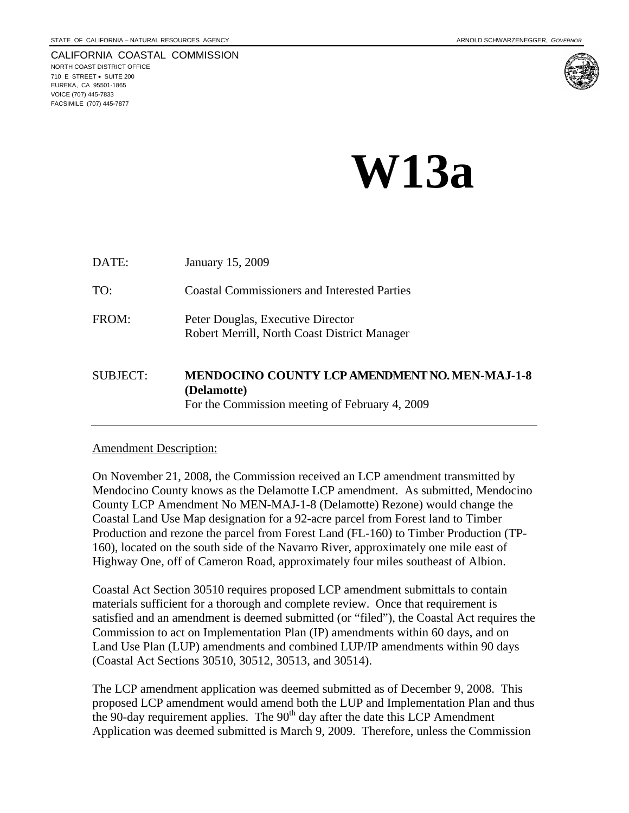CALIFORNIA COASTAL COMMISSION NORTH COAST DISTRICT OFFICE 710 E STREET • SUITE 200 EUREKA, CA 95501-1865 VOICE (707) 445-7833 FACSIMILE (707) 445-7877



# **W13a**

| DATE:           | January 15, 2009                                                                                                       |
|-----------------|------------------------------------------------------------------------------------------------------------------------|
| TO:             | <b>Coastal Commissioners and Interested Parties</b>                                                                    |
| FROM:           | Peter Douglas, Executive Director<br>Robert Merrill, North Coast District Manager                                      |
| <b>SUBJECT:</b> | <b>MENDOCINO COUNTY LCP AMENDMENT NO. MEN-MAJ-1-8</b><br>(Delamotte)<br>For the Commission meeting of February 4, 2009 |

#### Amendment Description:

On November 21, 2008, the Commission received an LCP amendment transmitted by Mendocino County knows as the Delamotte LCP amendment. As submitted, Mendocino County LCP Amendment No MEN-MAJ-1-8 (Delamotte) Rezone) would change the Coastal Land Use Map designation for a 92-acre parcel from Forest land to Timber Production and rezone the parcel from Forest Land (FL-160) to Timber Production (TP-160), located on the south side of the Navarro River, approximately one mile east of Highway One, off of Cameron Road, approximately four miles southeast of Albion.

Coastal Act Section 30510 requires proposed LCP amendment submittals to contain materials sufficient for a thorough and complete review. Once that requirement is satisfied and an amendment is deemed submitted (or "filed"), the Coastal Act requires the Commission to act on Implementation Plan (IP) amendments within 60 days, and on Land Use Plan (LUP) amendments and combined LUP/IP amendments within 90 days (Coastal Act Sections 30510, 30512, 30513, and 30514).

The LCP amendment application was deemed submitted as of December 9, 2008. This proposed LCP amendment would amend both the LUP and Implementation Plan and thus the 90-day requirement applies. The  $90<sup>th</sup>$  day after the date this LCP Amendment Application was deemed submitted is March 9, 2009. Therefore, unless the Commission